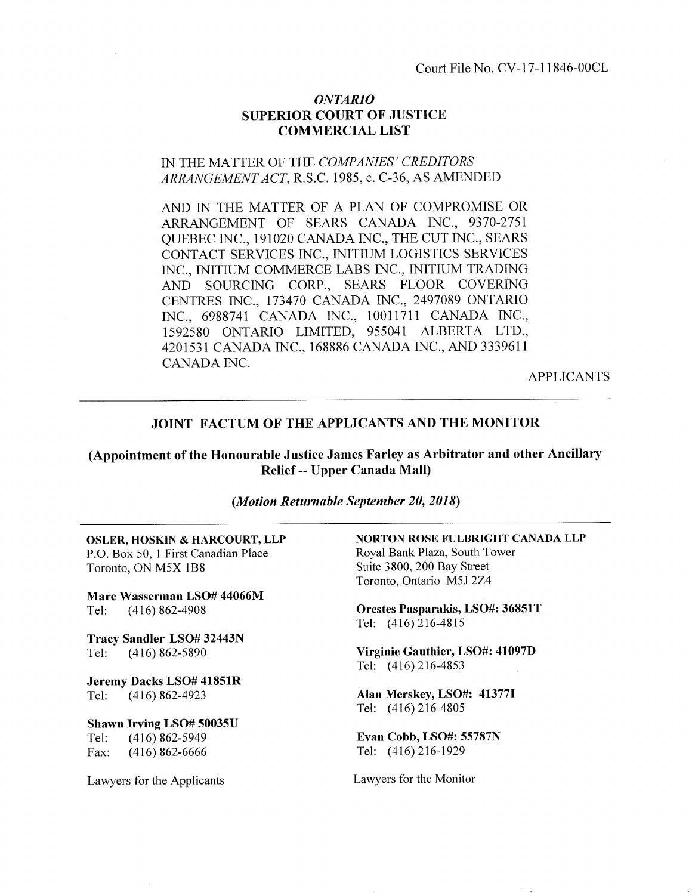## ONTARIO SUPERIOR COURT OF JUSTICE COMMERCIAL LIST

## IN THE MATTER OF THE COMPANIES' CREDITORS ARRANGEMENT ACT, R.S.C. 1985, c. C-36, AS AMENDED

AND IN THE MATTER OF A PLAN OF COMPROMISE OR ARRANGEMENT OF SEARS CANADA INC., 9370-2751 QUEBEC INC., 191020 CANADA INC., THE CUT INC., SEARS CONTACT SERVICES INC., INITIUM LOGISTICS SERVICES INC., INITIUM COMMERCE LABS [NC., INITIUM TRADING AND SOURCING CORP., SEARS FLOOR COVERING CENTRES TNC., 173470 CANADA [NC., 2497089 ONTARIO [NC., 6988741 CANADA INC., 1001171I CANADA INC., 1592580 ONTARIO LIMITED, 955041 ALBERTA LTD., 42OI53I CANADA INC., 168886 CANADA INC., AND 3339611 CANADA INC.

APPLICANTS

### JOINT FACTUM OF THE APPLICANTS AND THE MONITOR

(Appointment of the Honourable Justice James Farley as Arbitrator and other Ancillary Relief -- Upper Canada Malt)

#### (Motion Returnable September 20, 2018)

osLER, HOSKIN & HARCOURT, LLP P.O. Box 50, I First Canadian Place Toronto, ON M5X lB8

Marc Wasserman LSO# 44066M Tel: (416) 862-4908

Tracy Sandler LSO# 32443N Tel: (416) 862-5890

Jeremy Dacks LSO# 41851R Tel: (416) 862-4923

Shawn Irving LSO# 50035U Tel: (416) 862-5949<br>Fax: (416) 862-6666  $(416)862-6666$ 

Lawyers for the Applicants Lawyers for the Monitor

NORTON ROSE FULBRIGHT CANADA LLP Royal Bank Plaza, South Tower Suite 3800,200 Bay Street Toronto, Ontario M5J 2Z4

Orestes Pasparakis, LSO#: 368517 Tel: (416)216-4815

Virginie Gauthier, LSO#: 41097D Tel: (416)216-4853

Alan Merskey, LSO#: 41377I Tel: (416)216-4805

Evan Cobb, LSO#: 55787N Tel: (416)216-1929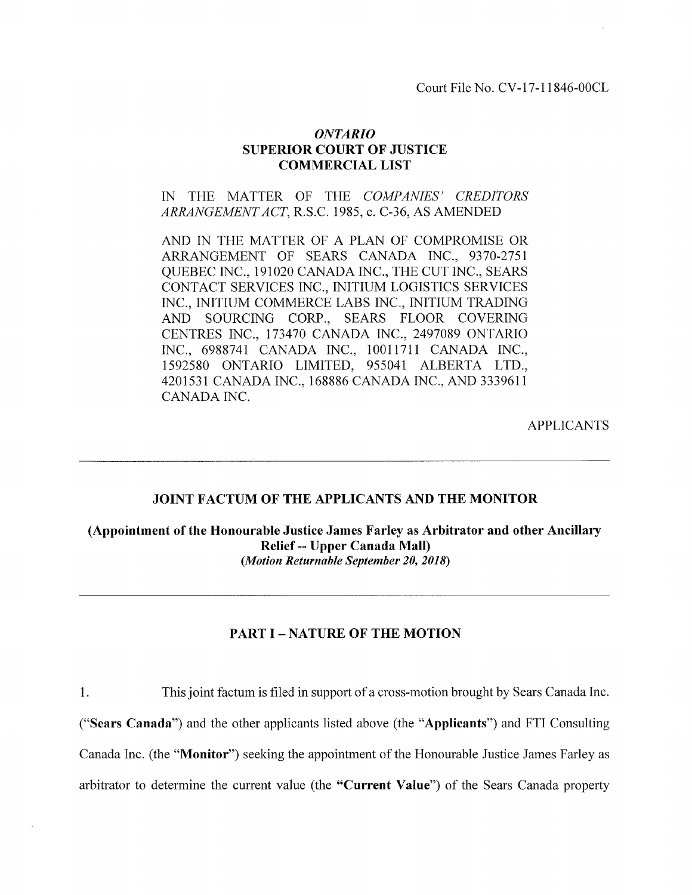Court File No. CY-17-11846-00CL

## ONTARIO SUPERIOR COURT OF JUSTICE COMMERCIAL LIST

IN THE MATTER OF THE COMPANIES' CREDITORS ARRANGEMENT ACT, R.S.C. 1985, c. C-36, AS AMENDED

AND IN THE MATTER OF A PLAN OF COMPROMISE OR ARRANGEMENT OF SEARS CANADA INC., 9370-2751 QUEBEC INC., 191020 CANADA INC., THE CUT INC., SEARS CONTACT SERVICES INC., INITIUM LOGISTICS SERVICES INC., INITIUM COMMERCE LABS INC., INITIUM TRADING AND SOURCING CORP., SEARS FLOOR COVERING CENTRES INC., 173470 CANADA fNC., 2497089 ONTARIO INC., 6988741 CANADA INC., 1OO1I7I1 CANADA INC., 1592580 ONTARIO LIMITED,95504I ALBERTA LTD., 4201531 CANADA INC., 168886 CANADA INC., AND 3339611 CANADA INC.

APPLICANTS

#### JOINT FACTUM OF THE APPLICANTS AND THE MONITOR

(Appointment of the Honourable Justice James Farley as Arbitrator and other Ancillary Relief -- Upper Canada Mall) (Motion Returnable September 20, 2018)

## PART I – NATURE OF THE MOTION

<sup>1</sup>. This joint factum is filed in support of a cross-motion brought by Sears Canada Inc.

("Sears Canada") and the other applicants listed above (the "Applicants") and FTI Consulting

Canada Inc. (the "Monitor") seeking the appointment of the Honourable Justice James Farley as

arbitrator to determine the current value (the "Current Value") of the Sears Canada property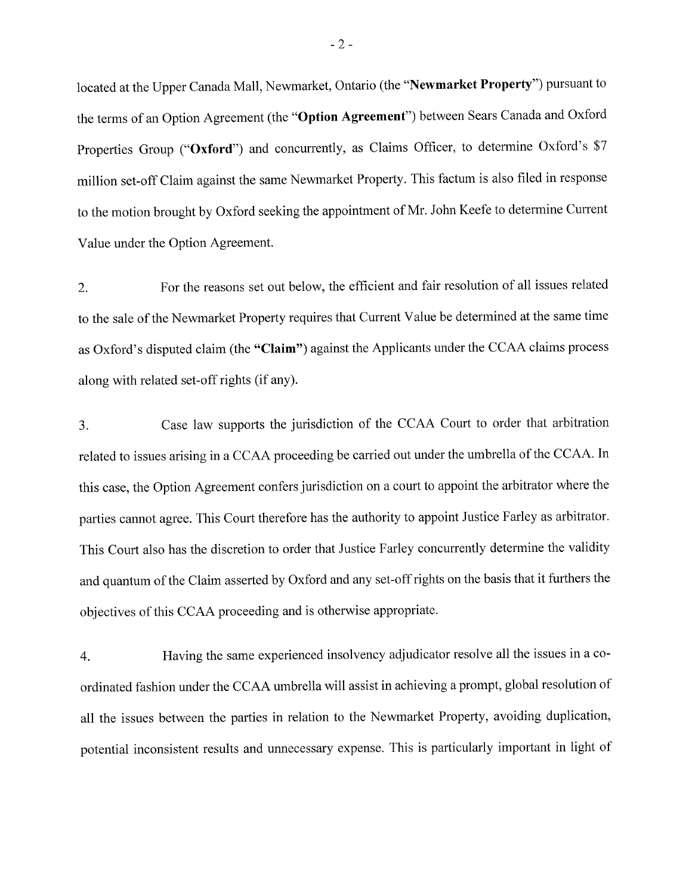located at the Upper Canada Mall, Newmarket, Ontario (the "Newmarket Property") pursuant to the terms of an Option Agreement (the "Option Agreement") between Sears Canada and Oxford Properties Group ("Oxford") and concurrently, as Claims Officer, to determine Oxford's \$7 million set-off Claim against the same Newmarket Property. This factum is also filed in response to the motion brought by Oxford seeking the appointment of Mr. John Keefe to determine Current Value under the Option Agreement.

2. For the reasons set out below, the efficient and fair resolution of all issues related to the sale of the Newmarket Property requires that Current Value be determined at the same time as Oxford's disputed claim (the "Claim") against the Applicants under the CCAA claims process along with related set-off rights (if any).

3. Case law supports the jurisdiction of the CCAA Court to order that arbitration related to issues arising in a CCAA proceeding be carried out under the umbrella of the CCAA. In this case, the Option Agreement confers jurisdiction on a court to appoint the arbitrator where the parties cannot agree. This Court therefore has the authority to appoint Justice Farley as arbitrator. This Court also has the discretion to order that Justice Farley concurrently determine the validity and quantum of the Claim asserted by Oxford and any set-off rights on the basis that it furthers the objectives of this CCAA proceeding and is otherwise appropriate.

4. Having the same experienced insolvency adjudicator resolve all the issues in a coordinated fashion under the CCAA umbrella will assist in achieving a prompt, global resolution of all the issues between the parties in relation to the Newmarket Property, avoiding duplication, potential inconsistent results and unnecessary expense. This is particularly important in light of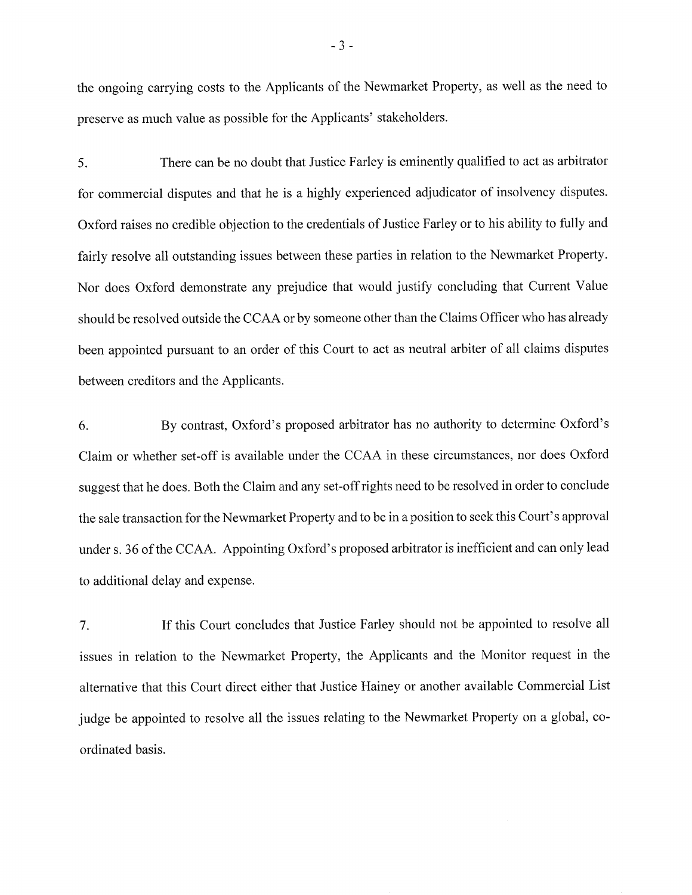the ongoing carrying costs to the Applicants of the Newmarket Property, as well as the need to preserve as much value as possible for the Applicants' stakeholders.

5. There can be no doubt that Justice Farley is eminently qualified to act as arbitrator for commercial disputes and that he is a highly experienced adjudicator of insolvency disputes. Oxford raises no credible objection to the credentials of Justice Farley or to his ability to fully and fairly resolve all outstanding issues between these parties in relation to the Newmarket Property. Nor does Oxford demonstrate any prejudice that would justify concluding that Current Value should be resolved outside the CCAA or by someone other than the Claims Officer who has already been appointed pursuant to an order of this Court to act as neutral arbiter of all claims disputes between creditors and the Applicants.

6. By contrast, Oxford's proposed arbitrator has no authority to determine Oxford's Claim or whether set-off is available under the CCAA in these circumstances, nor does Oxford suggest that he does. Both the Claim and any set-off rights need to be resolved in order to conclude the sale transaction for the Newmarket Property and to be in a position to seek this Court's approval under s. 36 of the CCAA. Appointing Oxford's proposed arbitrator is inefficient and can only lead to additional delay and expense.

7. If this Court concludes that Justice Farley should not be appointed to resolve all issues in relation to the Newmarket Property, the Applicants and the Monitor request in the alternative that this Court direct either that Justice Hainey or another available Commercial List judge be appointed to resolve all the issues relating to the Newmarket Property on a global, coordinated basis.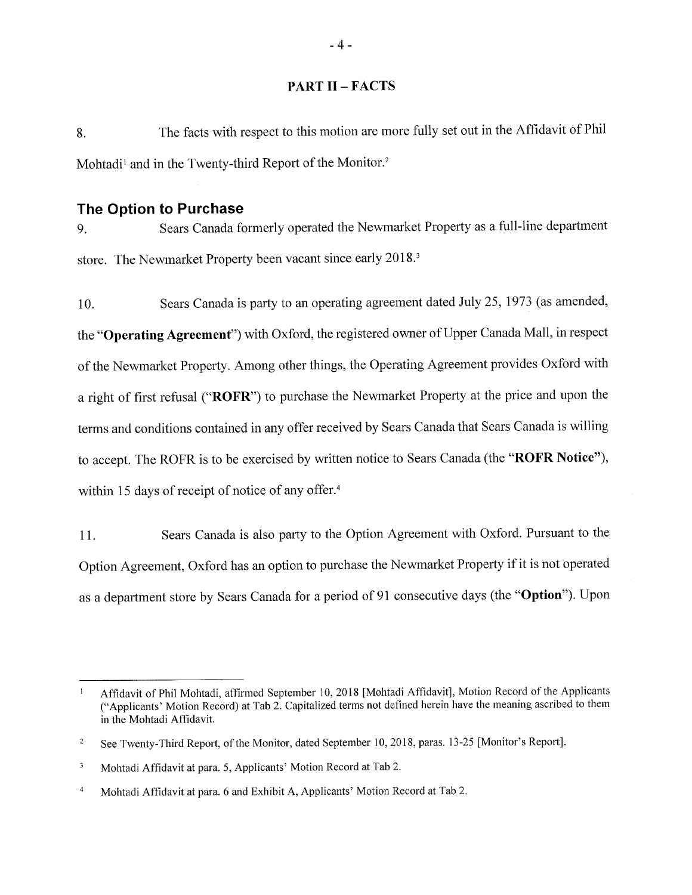#### PART II - FACTS

8. The facts with respect to this motion are more fully set out in the Affidavit of Phil Mohtadi<sup>1</sup> and in the Twenty-third Report of the Monitor.<sup>2</sup>

## The Option to Purchase

g. Sears Canada formerly operated the Newmarket Property as a full-line department store. The Newmarket Property been vacant since early 2018.3

10. Sears Canada is party to an operating agreement dated July 25,1973 (as amended, the "Operating Agreement") with Oxford, the registered owner of Upper Canada Mall, in respect of the Newmarket Property. Among other things, the Operating Agreement provides Oxford with a right of first refusal ("ROFR") to purchase the Newmarket Property at the price and upon the terms and conditions contained in any offer received by Sears Canada that Sears Canada is willing to accept. The ROFR is to be exercised by written notice to Sears Canada (the "ROFR Notice"), within 15 days of receipt of notice of any offer.<sup>4</sup>

<sup>I</sup>1. Sears Canada is also party to the Option Agreement with Oxford. Pursuant to the Option Agreement, Oxford has an option to purchase the Newmarket Property if it is not operated as a department store by Sears Canada for a period of 91 consecutive days (the "Option"). Upon

Affidavit of Phil Mohtadi, affirmed September 10,2018 [Mohtadi Affidavit], Motion Record of the Applicants ("Applicants' Motion Record) at Tab 2. Capitalized terms not defined herein have the meaning ascribed to them in the Mohtadi Affidavit.

See Twenty-Third Report, of the Monitor, dated September 10, 2018, paras.13-25 [Monitor's Report]. 2

Mohtadi Affidavit at para. 5, Applicants' Motion Record at Tab 2. 3

Mohtadi Affidavit at para. 6 and Exhibit A, Applicants' Motion Record at Tab 2. 4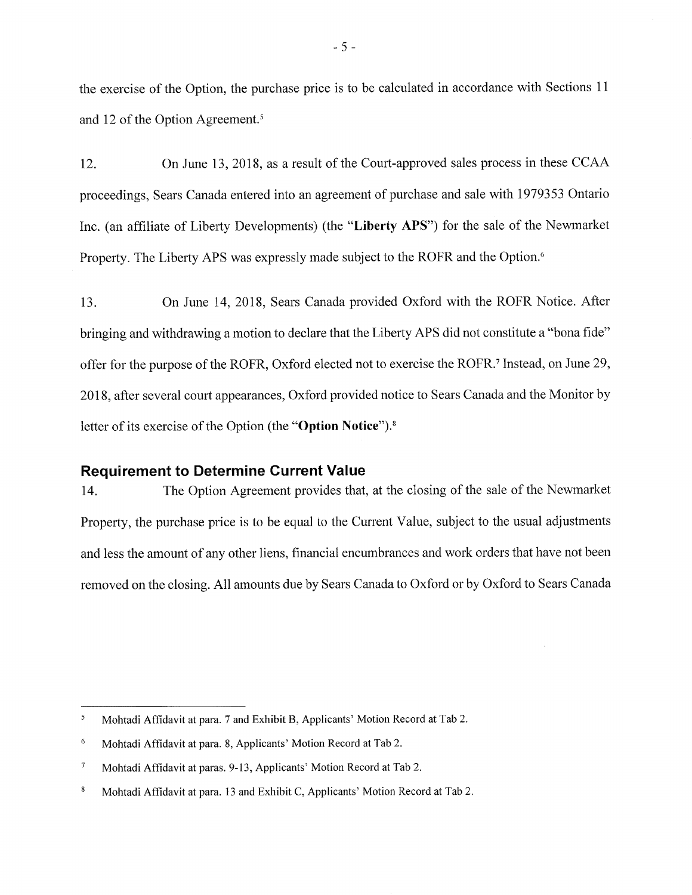the exercise of the Option, the purchase price is to be calculated in accordance with Sections <sup>1</sup><sup>1</sup> and 12 of the Option Agreement.5

12. On June 13, 2018, as a result of the Court-approved sales process in these CCAA proceedings, Sears Canada entered into an agreement of purchase and sale with1979353 Ontario Inc. (an affiliate of Liberty Developments) (the "Liberty APS") for the sale of the Newmarket Property. The Liberty APS was expressly made subject to the ROFR and the Option.<sup>6</sup>

13. On June 14,2018, Sears Canada provided Oxford with the ROFR Notice. After bringing and withdrawing a motion to declare that the Liberty APS did not constitute a "bona fide" offer for the purpose of the ROFR, Oxford elected not to exercise the ROFR.7 Instead, on June 29, 2018, after several court appearances, Oxford provided notice to Sears Canada and the Monitor by letter of its exercise of the Option (the "Option Notice").<sup>8</sup>

### Requirement to Determine Current Value

14. The Option Agreement provides that, at the closing of the sale of the Newmarket Property, the purchase price is to be equal to the Current Value, subject to the usual adjustments and less the amount of any other liens, financial encumbrances and work orders that have not been removed on the closing. All amounts due by Sears Canada to Oxford or by Oxford to Sears Canada

Mohtadi Affidavit at para. 7 and Exhibit B, Applicants' Motion Record at Tab 2. 5

<sup>6</sup> Mohtadi Affidavit at para. 8, Applicants' Motion Record at Tab 2.

 $\boldsymbol{7}$ Mohtadi Affidavit at paras. 9-13, Applicants' Motion Record at Tab 2.

 $\bf 8$ Mohtadi Affidavit at para. 13 and Exhibit C, Applicants' Motion Record at Tab 2.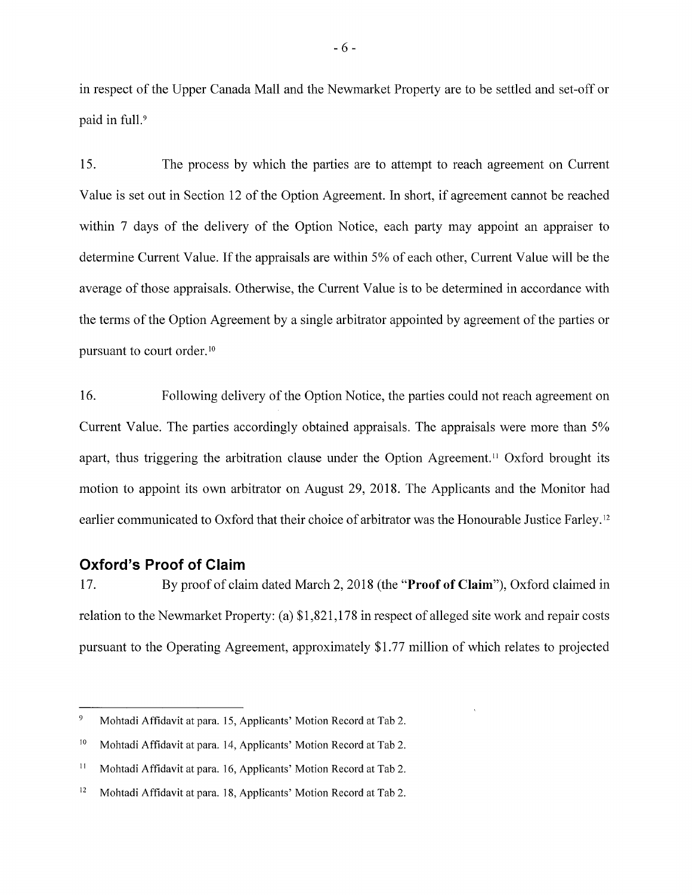in respect of the Upper Canada Mall and the Newmarket Property are to be settled and set-off or paid in full.'

15. The process by which the parties are to attempt to reach agreement on Current Value is set out in Section 12 of the Option Agreement. In short, if agreement cannot be reached within 7 days of the delivery of the Option Notice, each party may appoint an appraiser to determine Current Value. If the appraisals are within 5% of each other, Current Value will be the average of those appraisals. Otherwise, the Current Value is to be determined in accordance with the terms of the Option Agreement by a single arbitrator appointed by agreement of the parties or pursuant to court order.<sup>10</sup>

16. Following delivery of the Option Notice, the parties could not reach agreement on Current Value. The parties accordingly obtained appraisals. The appraisals were more than 5% apart, thus triggering the arbitration clause under the Option Agreement." Oxford brought its motion to appoint its own arbitrator on August 29,2018. The Applicants and the Monitor had earlier communicated to Oxford that their choice of arbitrator was the Honourable Justice Farley.'2

## Oxford's Proof of Glaim

<sup>17</sup>. By proof of claim dated March 2,2018 (the "Proof of Claim"), Oxford claimed in relation to the Newmarket Property: (a) \$1,821,178 in respect of alleged site work and repair costs pursuant to the Operating Agreement, approximately \$1.77 million of which relates to projected

 $\overline{9}$ Mohtadi Affidavit at para. 15, Applicants' Motion Record at Tab 2.

l0 Mohtadi Affidavit at para. 14, Applicants' Motion Record at Tab 2.

il Mohtadi Affidavit at para. 16, Applicants' Motion Record at Tab 2.

<sup>&</sup>lt;sup>12</sup> Mohtadi Affidavit at para. 18, Applicants' Motion Record at Tab 2.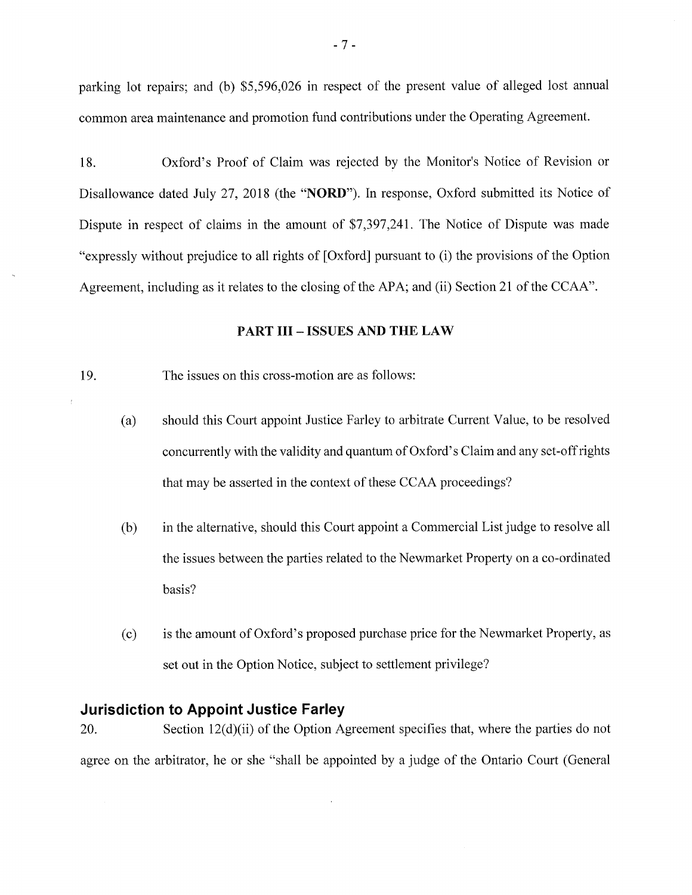parking lot repairs; and (b) \$5,596,026 in respect of the present value of alleged lost annual common area maintenance and promotion fund contributions under the Operating Agreement.

18. Oxford's Proof of Claim was rejected by the Monitor's Notice of Revision or Disallowance dated July 27, 2018 (the "NORD"). In response, Oxford submitted its Notice of Dispute in respect of claims in the amount of 57,397,241. The Notice of Dispute was made "expressly without prejudice to all rights of [Oxford] pursuant to (i) the provisions of the Option Agreement, including as it relates to the closing of the APA; and (ii) Section 21 of the CCAA".

#### PART III - ISSUES AND THE LAW

19. The issues on this cross-motion are as follows:

- (a) should this Court appoint Justice Farley to arbitrate Current Value, to be resolved concurrently with the validity and quantum of Oxford's Claim and any set-off rights that may be asserted in the context of these CCAA proceedings?
- (b) in the alternative, should this Court appoint a Commercial List judge to resolve all the issues between the parties related to the Newmarket Property on a co-ordinated basis?
- (c) is the amount of Oxford's proposed purchase price for the Newmarket Property, as set out in the Option Notice, subject to settlement privilege?

## Jurisdiction to Appoint Justice Farley

20. Section  $12(d)(ii)$  of the Option Agreement specifies that, where the parties do not agree on the arbitrator, he or she "shall be appointed by a judge of the Ontario Court (General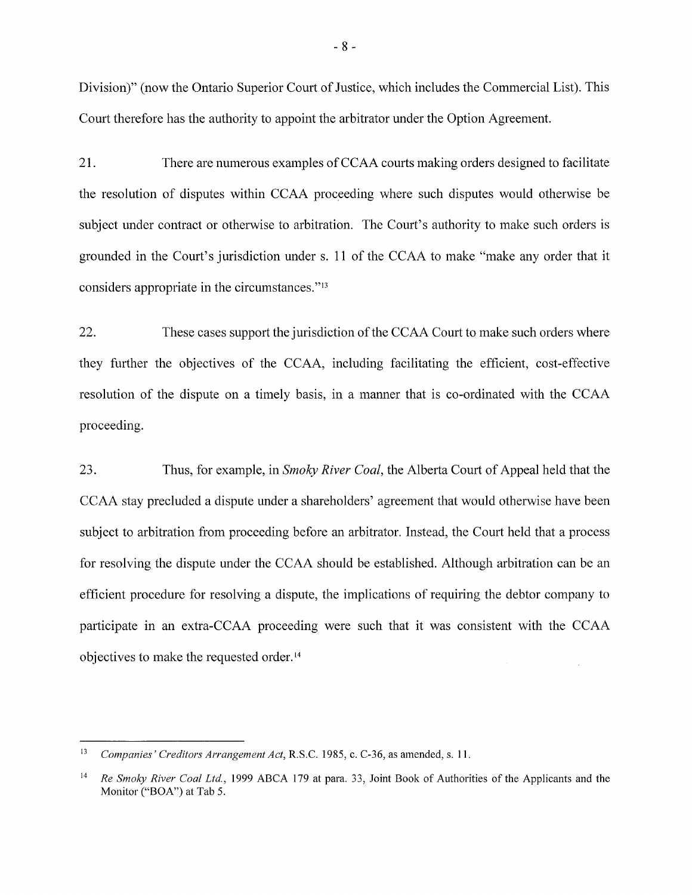Division)" (now the Ontario Superior Court of Justice, which includes the Commercial List). This Court therefore has the authority to appoint the arbitrator under the Option Agreement.

21. There are numerous examples of CCAA courts making orders designed to facilitate the resolution of disputes within CCAA proceeding where such disputes would otherwise be subject under contract or otherwise to arbitration. The Court's authority to make such orders is grounded in the Court's jurisdiction under s. 11 of the CCAA to make "make any order that it considers appropriate in the circumstances."<sup>13</sup>

22. These cases support the jurisdiction of the CCAA Court to make such orders where they further the objectives of the CCAA, including facilitating the efficient, cost-effective resolution of the dispute on a timely basis, in a manner that is co-ordinated with the CCAA proceeding.

23. Thus, for example, in *Smoky River Coal*, the Alberta Court of Appeal held that the CCAA stay precluded a dispute under a shareholders' agreement that would otherwise have been subject to arbitration from proceeding before an arbitrator. Instead, the Court held that a process for resolving the dispute under the CCAA should be established. Although arbitration can be an efficient procedure for resolving a dispute, the implications of requiring the debtor company to participate in an extra-CCAA proceeding were such that it was consistent with the CCAA objectives to make the requested order. $14$ 

l3 Companies' Creditors Arrangement Act, R.S.C. 1985, c. C-36, as amended, s. 11.

t4 Re Smoky River Coal Ltd., 1999 ABCA 179 at para. 33, Joint Book of Authorities of the Applicants and the Monitor ("BOA") at Tab 5.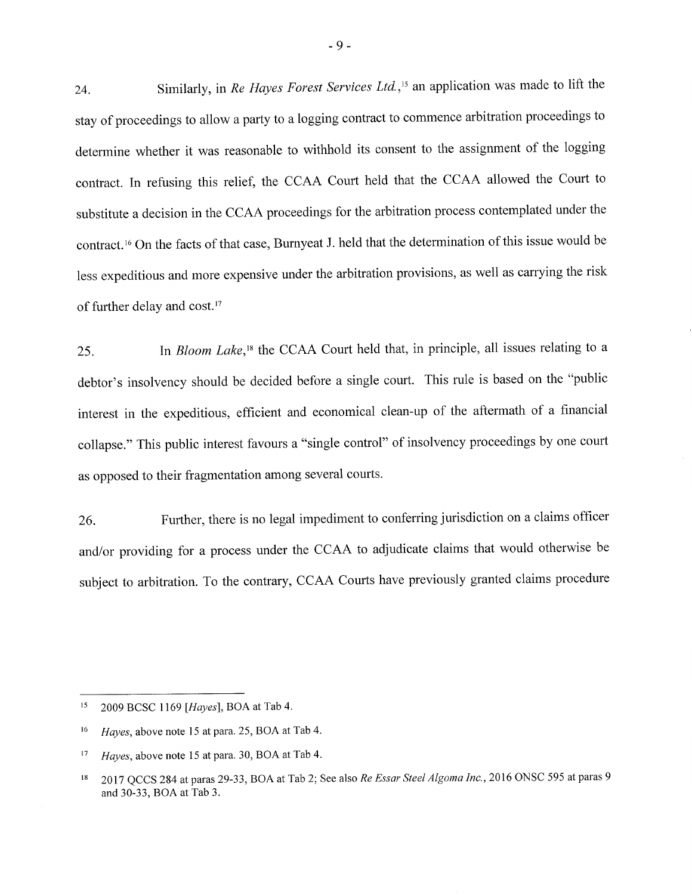24. Similarly, in Re Hayes Forest Services Ltd.,<sup>15</sup> an application was made to lift the stay of proceedings to allow a party to a logging contract to commence arbitration proceedings to determine whether it was reasonable to withhold its consent to the assignment of the logging contract. In refusing this relief, the CCAA Court held that the CCAA allowed the Court to substitute a decision in the CCAA proceedings for the arbitration process contemplated under the contract.i6 On the facts of that case, Burnyeat J. held that the determination of this issue would be less expeditious and more expensive under the arbitration provisions, as well as carrying the risk of further delay and cost.'7

25. In Bloom Lake,<sup>18</sup> the CCAA Court held that, in principle, all issues relating to a debtor's insolvency should be decided before a single court. This rule is based on the "public interest in the expeditious, efficient and economical clean-up of the aftermath of a financial collapse." This public interest favours a "single control" of insolvency proceedings by one court as opposed to their fragmentation among several courts.

26. Further, there is no legal impediment to conferring jurisdiction on a claims officer and/or providing for a process under the CCAA to adjudicate claims that would otherwise be subject to arbitration. To the contrary, CCAA Courts have previously granted claims procedure

<sup>&</sup>lt;sup>15</sup> 2009 BCSC 1169 [Hayes], BOA at Tab 4.

<sup>&</sup>lt;sup>16</sup> Hayes, above note 15 at para. 25, BOA at Tab 4.

 $t7$  Hayes, above note 15 at para. 30, BOA at Tab 4.

<sup>&</sup>lt;sup>18</sup> 2017 QCCS 284 at paras 29-33, BOA at Tab 2; See also Re Essar Steel Algoma Inc., 2016 ONSC 595 at paras 9 and30-33, BOA at Tab 3.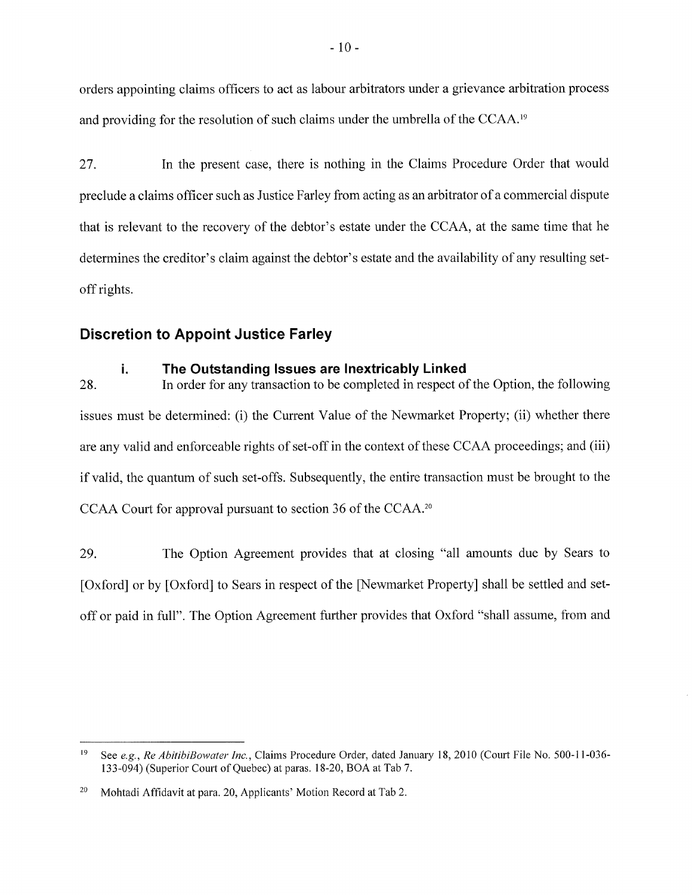orders appointing claims officers to act as labour arbitrators under a grievance arbitration process and providing for the resolution of such claims under the umbrella of the CCAA.<sup>19</sup>

27. In the present case, there is nothing in the Claims Procedure Order that would preclude a claims officer such as Justice Farley from acting as an arbitrator of a commercial dispute that is relevant to the recovery of the debtor's estate under the CCAA, at the same time that he determines the creditor's claim against the debtor's estate and the availability of any resulting setoff rights.

# Discretion to Appoint Justice Farley

# i. The Outstanding lssues are lnextricably Linked

28. In order for any transaction to be completed in respect of the Option, the following issues must be determined: (i) the Current Value of the Newmarket Property; (ii) whether there are any valid and enforceable rights of set-off in the context of these CCAA proceedings; and (iii) if valid, the quantum of such set-offs. Subsequently, the entire transaction must be brought to the CCAA Court for approval pursuant to section 36 of the CCAA.<sup>20</sup>

29. The Option Agreement provides that at closing "a11 amounts due by Sears to [Oxford] or by [Oxford] to Sears in respect of the [Newmarket Property] shall be settled and setoff or paid in fuIl". The Option Agreement further provides that Oxford "shall assume, from and

See e.g., Re AbitibiBowater Inc., Claims Procedure Order, dated January 18, 2010 (Court File No. 500-11-036-133-094) (Superior Court of Quebec) at paras. 1 8-20, BOA at Tab 7. l9

Mohtadi Affidavit at para. 20, Applicants' Motion Record at Tab 2. 20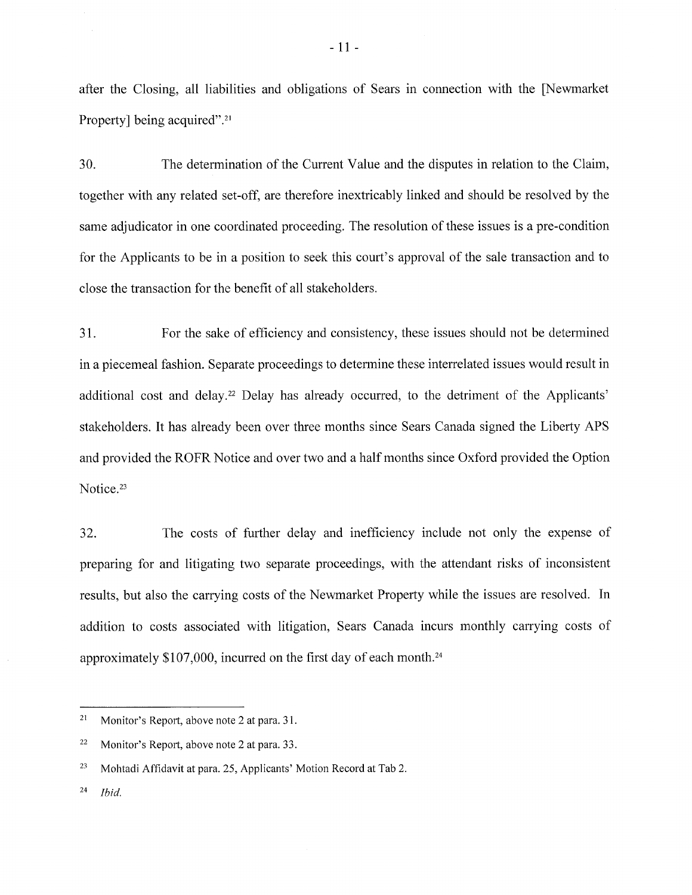after the Closing, all liabilities and obligations of Sears in connection with the fNewmarket Property] being acquired".<sup>21</sup>

30. The determination of the Current Value and the disputes in relation to the Claim, together with any related set-off, are therefore inextricably linked and should be resolved by the same adjudicator in one coordinated proceeding. The resolution of these issues is a pre-condition for the Applicants to be in a position to seek this court's approval of the sale transaction and to close the transaction for the benefit of all stakeholders.

31. For the sake of efficiency and consistency, these issues should not be determined in a piecemeal fashion. Separate proceedings to determine these interrelated issues would result in additional cost and delay.<sup>22</sup> Delay has already occurred, to the detriment of the Applicants' stakeholders. It has already been over three months since Sears Canada signed the Liberty APS and provided the ROFR Notice and over two and a half months since Oxford provided the Option Notice.<sup>23</sup>

32. The costs of further delay and inefficiency include not only the expense of preparing for and litigating two separate proceedings, with the attendant risks of inconsistent results, but also the carrying costs of the Newmarket Property while the issues are resolved. In addition to costs associated with litigation, Sears Canada incurs monthly carrying costs of approximately \$107,000, incurred on the first day of each month.<sup>24</sup>

 $24$  *lbid.* 

<sup>&</sup>lt;sup>21</sup> Monitor's Report, above note 2 at para. 31.

<sup>&</sup>lt;sup>22</sup> Monitor's Report, above note 2 at para. 33.

<sup>&</sup>lt;sup>23</sup> Mohtadi Affidavit at para. 25, Applicants' Motion Record at Tab 2.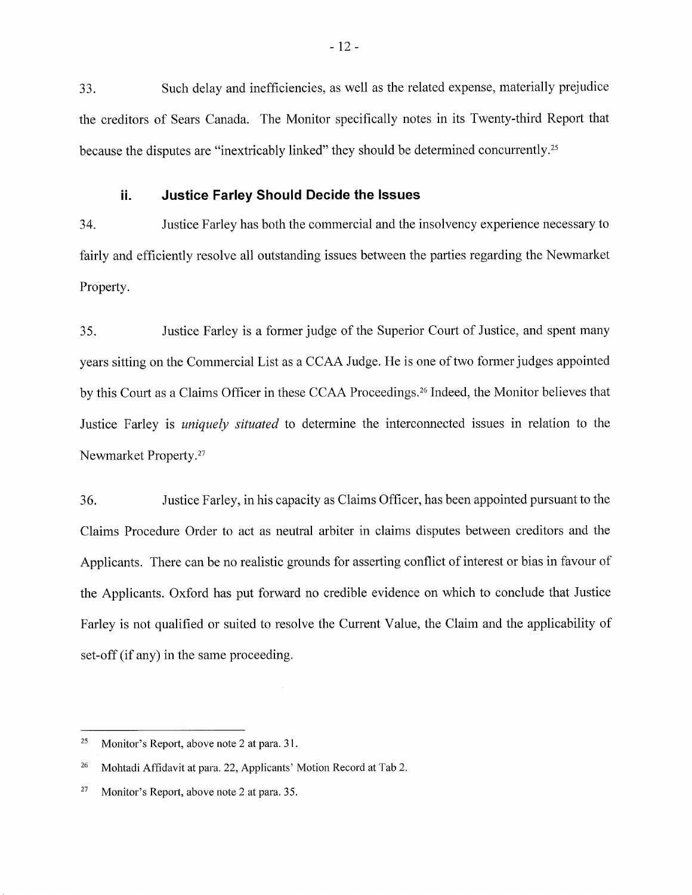33. Such delay and inefficiencies, as well as the related expense, materially prejudice the creditors of Sears Canada. The Monitor specifically notes in its Twenty-third Report that because the disputes are "inextricably linked" they should be determined concurrently.2s

## ii. Justice Farley Should Decide the lssues

34. Justice Farley has both the commercial and the insolvency experience necessary to fairly and efficiently resolve all outstanding issues between the parties regarding the Newmarket Property.

35. Justice Farley is a former judge of the Superior Court of Justice, and spent many years sitting on the Commercial List as a CCAA Judge. He is one of two former judges appointed by this Court as a Claims Officer in these CCAA Proceedings.<sup>26</sup> Indeed, the Monitor believes that Justice Farley is *uniquely situated* to determine the interconnected issues in relation to the Newmarket Property.2T

36. Justice Farley, in his capacity as Claims Officer, has been appointed pursuant to the Claims Procedure Order to act as neutral arbiter in claims disputes between creditors and the Applicants. There can be no realistic grounds for asserting conflict of interest or bias in favour of the Applicants. Oxford has put forward no credible evidence on which to conclude that Justice Farley is not qualified or suited to resolve the Current Value, the Claim and the applicability of set-off (if any) in the same proceeding.

<sup>&</sup>lt;sup>25</sup> Monitor's Report, above note 2 at para. 31.

<sup>&</sup>lt;sup>26</sup> Mohtadi Affidavit at para. 22, Applicants' Motion Record at Tab 2.

<sup>&</sup>lt;sup>27</sup> Monitor's Report, above note 2 at para.  $35$ .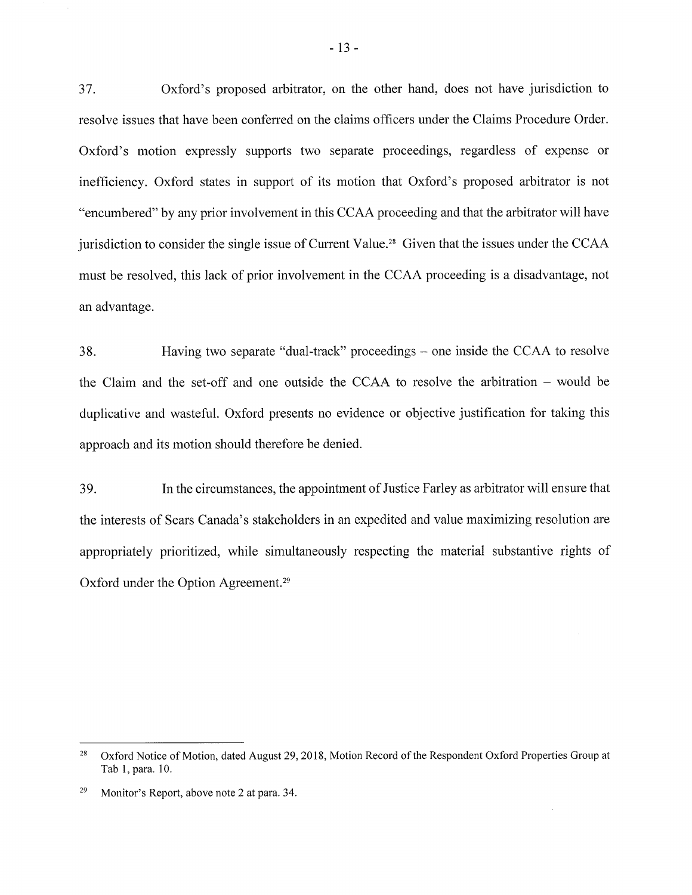37. Oxford's proposed arbitrator, on the other hand, does not have jurisdiction to resolve issues that have been conferred on the claims officers under the Claims Procedure Order. Oxford's motion expressly supports two separate proceedings, regardless of expense or inefficiency. Oxford states in support of its motion that Oxford's proposed arbitrator is not "encumbered" by any prior involvement in this CCAA proceeding and that the arbitrator will have jurisdiction to consider the single issue of Current Value.<sup>28</sup> Given that the issues under the CCAA must be resolved, this lack of prior involvement in the CCAA proceeding is a disadvantage, not an advantage.

38. Having two separate "dual-track" proceedings – one inside the CCAA to resolve the Claim and the set-off and one outside the CCAA to resolve the arbitration – would be duplicative and wasteful. Oxford presents no evidence or objective justification for taking this approach and its motion should therefore be denied.

39. In the circumstances, the appointment of Justice Farley as arbitrator will ensure that the interests of Sears Canada's stakeholders in an expedited and value maximizing resolution are appropriately prioritized, while simultaneously respecting the material substantive rights of Oxford under the Option Agreement.<sup>29</sup>

Oxford Notice of Motion, dated August 29,2018, Motion Record of the Respondent Oxford Properties Group at Tab l, para. 10. 2A

<sup>&</sup>lt;sup>29</sup> Monitor's Report, above note 2 at para. 34.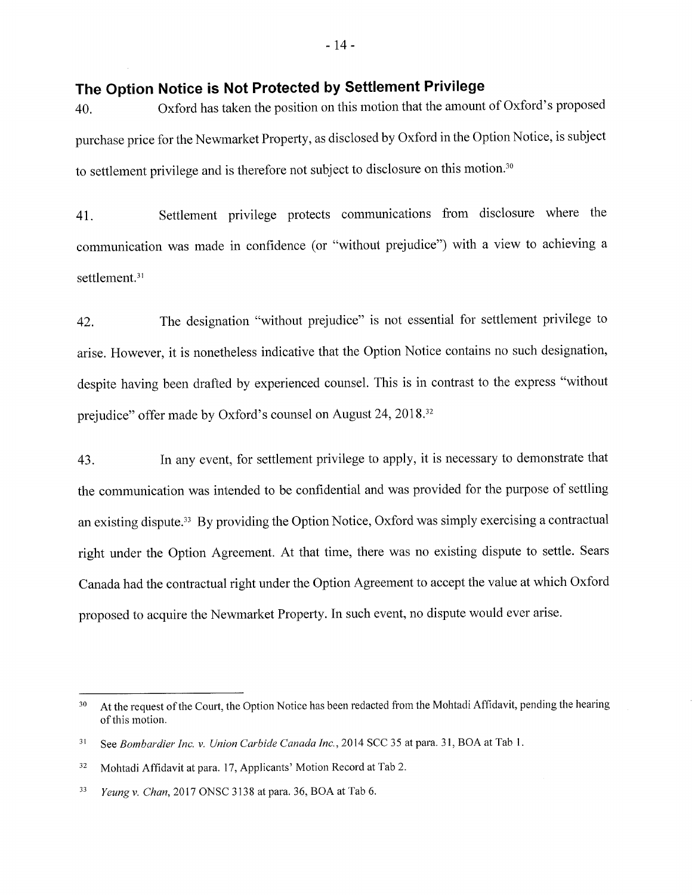# The Option Notice is Not Protected by Settlement Privilege

40. Oxford has taken the position on this motion that the amount of Oxford's proposed purchase price for the Newmarket Property, as disclosed by Oxford in the Option Notice, is subject to settlement privilege and is therefore not subject to disclosure on this motion.3o

41. Settlement privilege protects communications from disclosure where the communication was made in confidence (or "without prejudice") with a view to achieving a settlement.<sup>31</sup>

42. The designation "without prejudice" is not essential for settlement privilege to arise. However, it is nonetheless indicative that the Option Notice contains no such designation, despite having been drafted by experienced counsel. This is in contrast to the express "without prejudice" offer made by Oxford's counsel on August 24,2018.32

43. In any event, for settlement privilege to apply, it is necessary to demonstrate that the communication was intended to be confidential and was provided for the purpose of settling an existing dispute.<sup>33</sup> By providing the Option Notice, Oxford was simply exercising a contractual right under the Option Agreement. At that time, there was no existing dispute to settle. Sears Canada had the contractual right under the Option Agreement to accept the value at which Oxford proposed to acquire the Newmarket Property. In such event, no dispute would ever arise.

At the request of the Court, the Option Notice has been redacted from the Mohtadi Affidavit, pending the hearing of this motion. 30

See Bombardier Inc. v. Union Carbide Canada Inc., 2014 SCC 35 at para. 31, BOA at Tab 1. 3l

Mohtadi Affidavit at para. 17, Applicants' Motion Record at Tab 2. 32

Yeung v. Chan, 2017 ONSC 3138 at para. 36, BOA at Tab 6. 33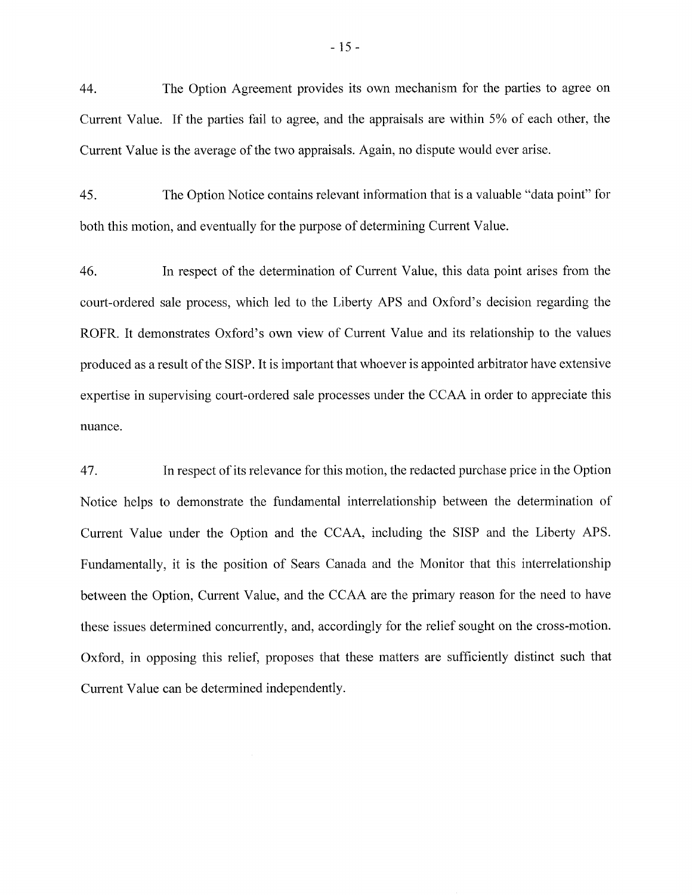44. The Option Agreement provides its own mechanism for the parties to agree on Current Value. If the parties fail to agree, and the appraisals are within 5% of each other, the Current Value is the average of the two appraisals. Again, no dispute would ever arise.

45. The Option Notice contains relevant information that is a valuable "data point" for both this motion, and eventually for the purpose of determining Current Value.

46. In respect of the determination of Current Value, this data point arises from the court-ordered sale process, which led to the Liberty APS and Oxford's decision regarding the ROFR. It demonstrates Oxford's own view of Current Value and its relationship to the values produced as a result of the SISP. It is important that whoever is appointed arbitrator have extensive expertise in supervising court-ordered sale processes under the CCAA in order to appreciate this nuance.

47. In respect of its relevance for this motion, the redacted purchase price in the Option Notice helps to demonstrate the fundamental interrelationship between the determination of Current Value under the Option and the CCAA, including the SISP and the Liberty APS. Fundamentally, it is the position of Sears Canada and the Monitor that this interrelationship between the Option, Current Value, and the CCAA are the primary reason for the need to have these issues determined concurrently, and, accordingly for the relief sought on the cross-motion. Oxford, in opposing this relief, proposes that these matters are sufficiently distinct such that Current Value can be determined independently.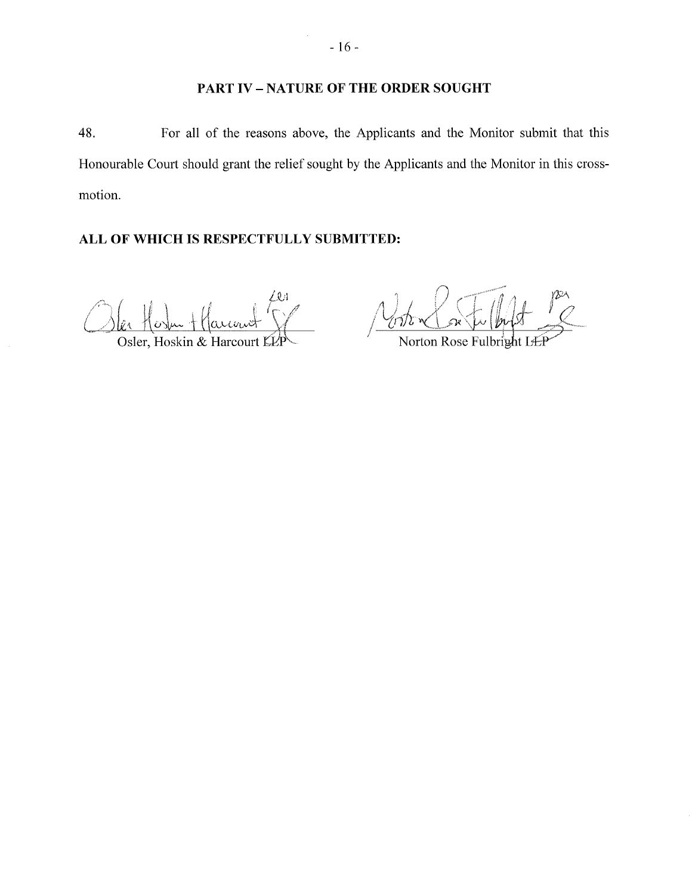## PART IV - NATURE OF THE ORDER SOUGHT

48. For all of the reasons above, the Applicants and the Monitor submit that this Honourable Court should grant the relief sought by the Applicants and the Monitor in this crossmotion.

# ALL OF WHICH IS RESPECTFULLY SUBMITTED:

Osler, Hoskin & Harcourt KLP Morton Rose Fulbright

 $\bar{z}$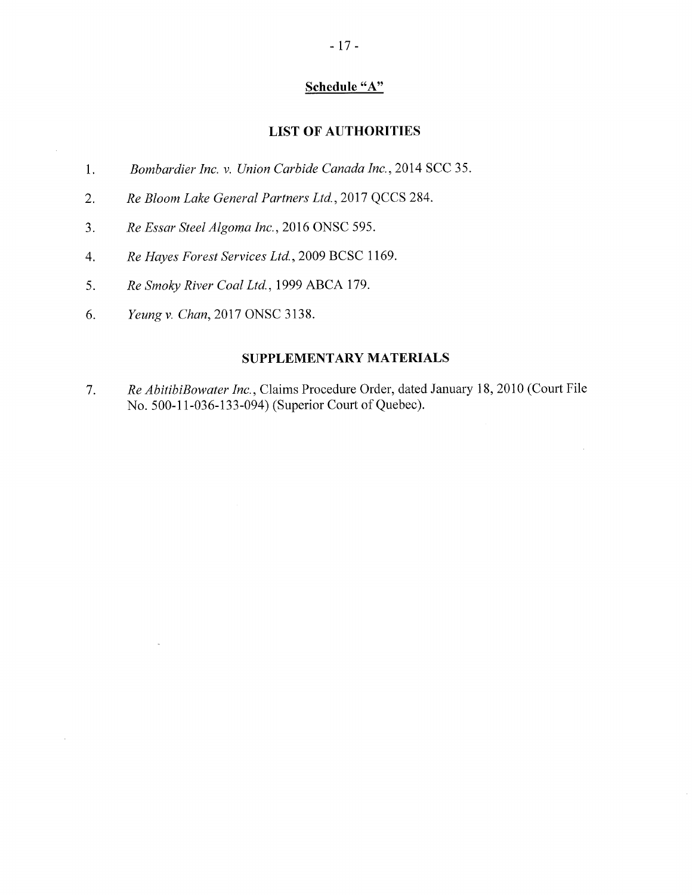## Schedule "A"

## **LIST OF AUTHORITIES**

- 1. Bombardier Inc. v. Union Carbide Canada Inc.,20l4 SCC 35
- <sup>2.</sup> Re Bloom Lake General Partners Ltd.,20l7 QCCS 284.
- 3. Re Essar Steel Algoma Inc., 2016 ONSC 595.
- 4. Re Hayes Forest Services Ltd.,2009 BCSC 1169.
- 5. Re Smoky River Coal Ltd., 1999 ABCA 179.
- 6. Yeung v. Chan, 2017 ONSC 3138.

i,

 $\mathcal{A}^{\mathcal{A}}$ 

## SUPPLEMENTARY MATERIALS

Re AbitibiBowater Inc.,CLaims Procedure Order, dated January 18,2010 (Court File No. 500-11-036-133-094) (Superior Court of Quebec). 7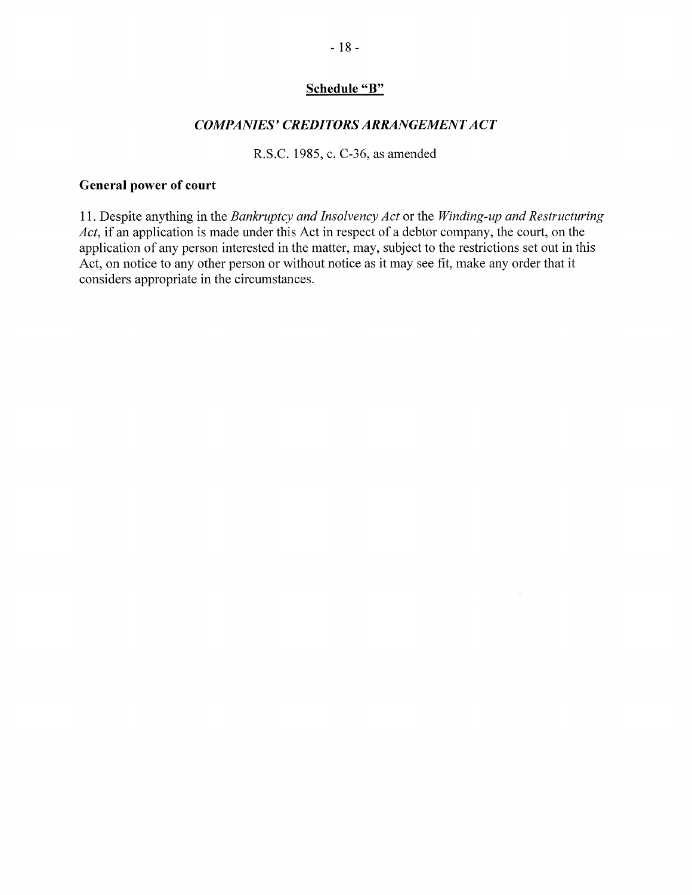## Schedule "B"

## COMPANIES' CREDITORS ARRANGEMENT ACT

R.S.C. 1985, c. C-36, as amended

## General power of court

11. Despite anything in the Bankruptcy and Insolvency Act or the Winding-up and Restructuring Act, if an application is made under this Act in respect of a debtor company, the court, on the application of any person interested in the matter, may, subject to the restrictions set out in this Act, on notice to any other person or without notice as it may see fit, make any order that it considers appropriate in the circumstances.